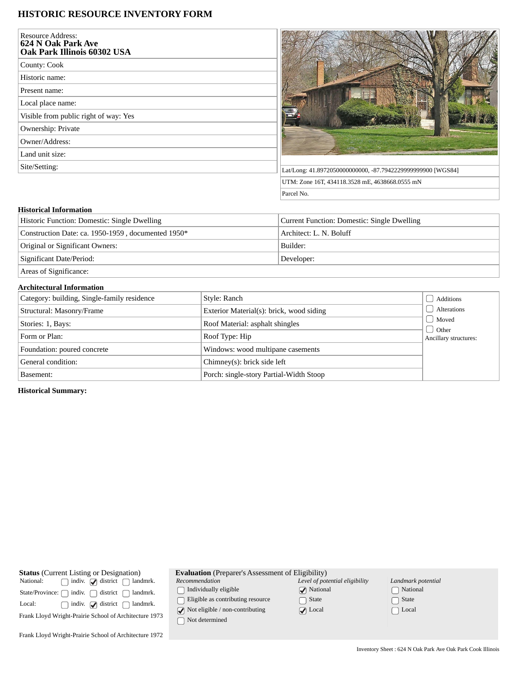## **HISTORIC RESOURCE INVENTORY FORM**

| <b>Resource Address:</b><br>624 N Oak Park Ave<br>Oak Park Illinois 60302 USA |                                                             |
|-------------------------------------------------------------------------------|-------------------------------------------------------------|
| County: Cook                                                                  |                                                             |
| Historic name:                                                                |                                                             |
| Present name:                                                                 |                                                             |
| Local place name:                                                             |                                                             |
| Visible from public right of way: Yes                                         |                                                             |
| Ownership: Private                                                            |                                                             |
| Owner/Address:                                                                |                                                             |
| Land unit size:                                                               |                                                             |
| Site/Setting:                                                                 | Lat/Long: 41.8972050000000000, -87.7942229999999900 [WGS84] |
|                                                                               | UTM: Zone 16T, 434118.3528 mE, 4638668.0555 mN              |
|                                                                               | Parcel No.                                                  |

## **Historical Information** Historic Function: Domestic: Single Dwelling **Current Function: Domestic: Single Dwelling** Construction Date: ca. 1950-1959, documented 1950\* Architect: L. N. Boluff Original or Significant Owners: Builder: Builder: Significant Date/Period: Developer: Developer:

Areas of Significance:

## **Architectural Information**

| Category: building, Single-family residence | Style: Ranch                             | Additions                                      |
|---------------------------------------------|------------------------------------------|------------------------------------------------|
| Structural: Masonry/Frame                   | Exterior Material(s): brick, wood siding | Alterations                                    |
| Stories: 1, Bays:                           | Roof Material: asphalt shingles          | Moved<br><b>Other</b><br>Ancillary structures: |
| Form or Plan:                               | Roof Type: Hip                           |                                                |
| Foundation: poured concrete                 | Windows: wood multipane casements        |                                                |
| General condition:                          | Chimney(s): brick side left              |                                                |
| Basement:                                   | Porch: single-story Partial-Width Stoop  |                                                |

**Historical Summary:**

| <b>Status</b> (Current Listing or Designation)             | <b>Evaluation</b> (Preparer's Assessment of Eligibility) |                                |                    |  |
|------------------------------------------------------------|----------------------------------------------------------|--------------------------------|--------------------|--|
| National:<br>indiv. $\Box$ district<br>landmrk.            | Recommendation                                           | Level of potential eligibility | Landmark potential |  |
| indiv.<br>district<br>State/Province: (<br>landmrk.        | Individually eligible                                    | $\sqrt{\phantom{a}}$ National  | National           |  |
| Local:<br>indiv. $\sqrt{\phantom{a}}$ district<br>landmrk. | Eligible as contributing resource                        | State                          | State              |  |
| Frank Lloyd Wright-Prairie School of Architecture 1973     | $\sqrt{\phantom{a}}$ Not eligible / non-contributing     | $\sqrt{ }$ Local               | $\Box$ Local       |  |
|                                                            | Not determined                                           |                                |                    |  |
| Frank Lloyd Wright-Prairie School of Architecture 1972     |                                                          |                                |                    |  |